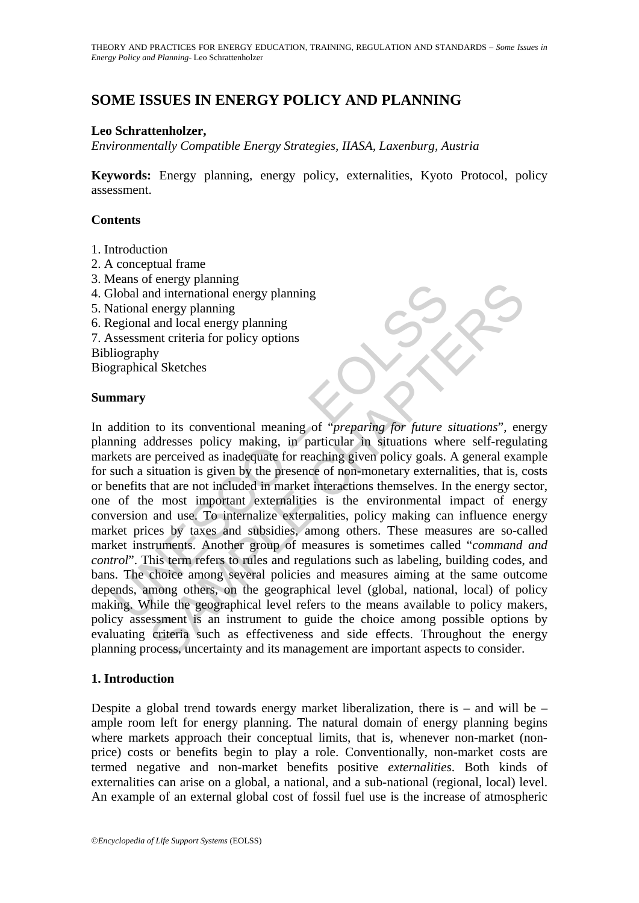# **SOME ISSUES IN ENERGY POLICY AND PLANNING**

### **Leo Schrattenholzer,**

*Environmentally Compatible Energy Strategies, IIASA, Laxenburg, Austria*

**Keywords:** Energy planning, energy policy, externalities, Kyoto Protocol, policy assessment.

#### **Contents**

- 1. Introduction
- 2. A conceptual frame
- 3. Means of energy planning
- 4. Global and international energy planning
- 5. National energy planning
- 6. Regional and local energy planning
- 7. Assessment criteria for policy options
- Bibliography

Biographical Sketches

#### **Summary**

Considering a conserptional energy planning<br>
idobal and international energy planning<br>
(ational energy planning<br>
(ational energy planning<br>
egional and local energy planning<br>
sugning<br>
marry<br>
and didition to its conventional The continuous<br>
and international energy planning<br>
and local energy planning<br>
and local energy planning<br>
and local energy planning<br>
and local energy planning<br>
and local energy planning<br>
and local energy planning<br>
and local In addition to its conventional meaning of "*preparing for future situations*", energy planning addresses policy making, in particular in situations where self-regulating markets are perceived as inadequate for reaching given policy goals. A general example for such a situation is given by the presence of non-monetary externalities, that is, costs or benefits that are not included in market interactions themselves. In the energy sector, one of the most important externalities is the environmental impact of energy conversion and use. To internalize externalities, policy making can influence energy market prices by taxes and subsidies, among others. These measures are so-called market instruments. Another group of measures is sometimes called "*command and control*". This term refers to rules and regulations such as labeling, building codes, and bans. The choice among several policies and measures aiming at the same outcome depends, among others, on the geographical level (global, national, local) of policy making. While the geographical level refers to the means available to policy makers, policy assessment is an instrument to guide the choice among possible options by evaluating criteria such as effectiveness and side effects. Throughout the energy planning process, uncertainty and its management are important aspects to consider.

#### **1. Introduction**

Despite a global trend towards energy market liberalization, there is – and will be – ample room left for energy planning. The natural domain of energy planning begins where markets approach their conceptual limits, that is, whenever non-market (nonprice) costs or benefits begin to play a role. Conventionally, non-market costs are termed negative and non-market benefits positive *externalities*. Both kinds of externalities can arise on a global, a national, and a sub-national (regional, local) level. An example of an external global cost of fossil fuel use is the increase of atmospheric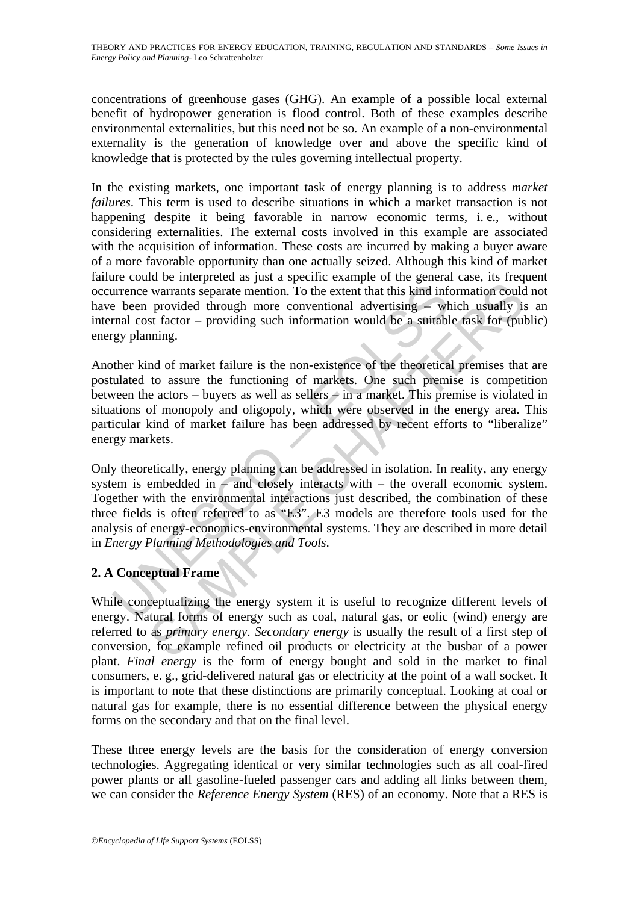concentrations of greenhouse gases (GHG). An example of a possible local external benefit of hydropower generation is flood control. Both of these examples describe environmental externalities, but this need not be so. An example of a non-environmental externality is the generation of knowledge over and above the specific kind of knowledge that is protected by the rules governing intellectual property.

In the existing markets, one important task of energy planning is to address *market failures*. This term is used to describe situations in which a market transaction is not happening despite it being favorable in narrow economic terms, i. e., without considering externalities. The external costs involved in this example are associated with the acquisition of information. These costs are incurred by making a buyer aware of a more favorable opportunity than one actually seized. Although this kind of market failure could be interpreted as just a specific example of the general case, its frequent occurrence warrants separate mention. To the extent that this kind information could not have been provided through more conventional advertising – which usually is an internal cost factor – providing such information would be a suitable task for (public) energy planning.

urrence warrants separate mention. To the extent that this kind inf<br>
absorbed through more conventional advertising – wh<br>
rmal cost factor – providing such information would be a suitably<br>
gy planning.<br>
where kind of marke warrants separate mention. To the extent that this kind information could<br>provided through more conventional advertising – which usually is<br>st factor – providing such information would be a suitable task for (pul<br>ning.<br>Mo Another kind of market failure is the non-existence of the theoretical premises that are postulated to assure the functioning of markets. One such premise is competition between the actors – buyers as well as sellers  $\div$  in a market. This premise is violated in situations of monopoly and oligopoly, which were observed in the energy area. This particular kind of market failure has been addressed by recent efforts to "liberalize" energy markets.

Only theoretically, energy planning can be addressed in isolation. In reality, any energy system is embedded in  $\overline{-}$  and closely interacts with  $\overline{-}$  the overall economic system. Together with the environmental interactions just described, the combination of these three fields is often referred to as "E3". E3 models are therefore tools used for the analysis of energy-economics-environmental systems. They are described in more detail in *Energy Planning Methodologies and Tools*.

## **2. A Conceptual Frame**

While conceptualizing the energy system it is useful to recognize different levels of energy. Natural forms of energy such as coal, natural gas, or eolic (wind) energy are referred to as *primary energy*. *Secondary energy* is usually the result of a first step of conversion, for example refined oil products or electricity at the busbar of a power plant. *Final energy* is the form of energy bought and sold in the market to final consumers, e. g., grid-delivered natural gas or electricity at the point of a wall socket. It is important to note that these distinctions are primarily conceptual. Looking at coal or natural gas for example, there is no essential difference between the physical energy forms on the secondary and that on the final level.

These three energy levels are the basis for the consideration of energy conversion technologies. Aggregating identical or very similar technologies such as all coal-fired power plants or all gasoline-fueled passenger cars and adding all links between them, we can consider the *Reference Energy System* (RES) of an economy. Note that a RES is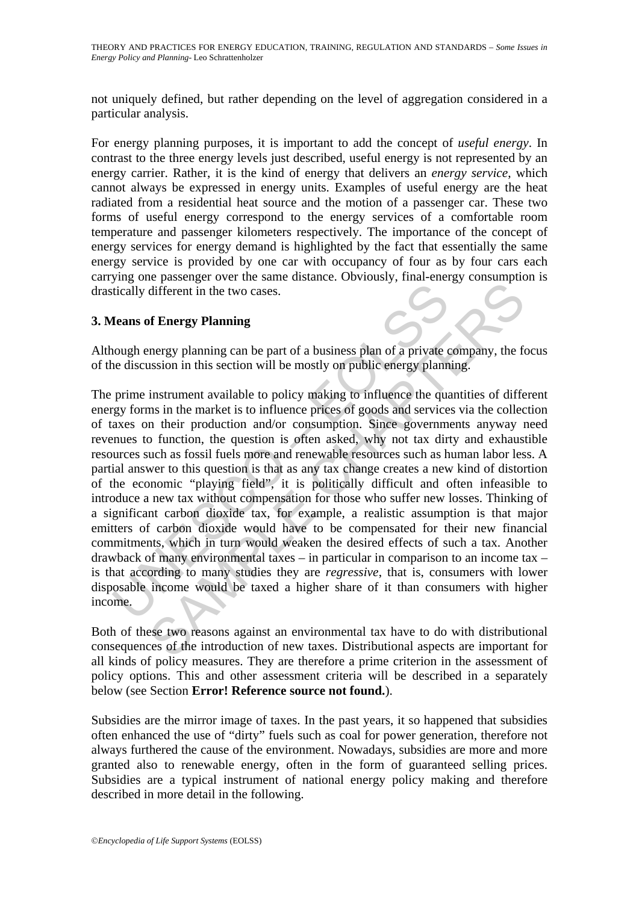not uniquely defined, but rather depending on the level of aggregation considered in a particular analysis.

For energy planning purposes, it is important to add the concept of *useful energy*. In contrast to the three energy levels just described, useful energy is not represented by an energy carrier. Rather, it is the kind of energy that delivers an *energy service*, which cannot always be expressed in energy units. Examples of useful energy are the heat radiated from a residential heat source and the motion of a passenger car. These two forms of useful energy correspond to the energy services of a comfortable room temperature and passenger kilometers respectively. The importance of the concept of energy services for energy demand is highlighted by the fact that essentially the same energy service is provided by one car with occupancy of four as by four cars each carrying one passenger over the same distance. Obviously, final-energy consumption is drastically different in the two cases.

## **3. Means of Energy Planning**

Although energy planning can be part of a business plan of a private company, the focus of the discussion in this section will be mostly on public energy planning.

itically different in the two cases.<br> **Ieans of Energy Planning**<br>
nough energy planning can be part of a business plan of a private<br>
ne discussion in this section will be mostly on public energy plann<br>
prime instrument ava different in the two cases.<br>
of Energy Planning<br>
different in the two cases.<br>
of Energy Planning<br>
can be part of a business plan of a private company, the form<br>
instrument available to policy making to influence the quanti The prime instrument available to policy making to influence the quantities of different energy forms in the market is to influence prices of goods and services via the collection of taxes on their production and/or consumption. Since governments anyway need revenues to function, the question is often asked, why not tax dirty and exhaustible resources such as fossil fuels more and renewable resources such as human labor less. A partial answer to this question is that as any tax change creates a new kind of distortion of the economic "playing field", it is politically difficult and often infeasible to introduce a new tax without compensation for those who suffer new losses. Thinking of a significant carbon dioxide tax, for example, a realistic assumption is that major emitters of carbon dioxide would have to be compensated for their new financial commitments, which in turn would weaken the desired effects of such a tax. Another drawback of many environmental taxes – in particular in comparison to an income tax – is that according to many studies they are *regressive*, that is, consumers with lower disposable income would be taxed a higher share of it than consumers with higher income.

Both of these two reasons against an environmental tax have to do with distributional consequences of the introduction of new taxes. Distributional aspects are important for all kinds of policy measures. They are therefore a prime criterion in the assessment of policy options. This and other assessment criteria will be described in a separately below (see Section **Error! Reference source not found.**).

Subsidies are the mirror image of taxes. In the past years, it so happened that subsidies often enhanced the use of "dirty" fuels such as coal for power generation, therefore not always furthered the cause of the environment. Nowadays, subsidies are more and more granted also to renewable energy, often in the form of guaranteed selling prices. Subsidies are a typical instrument of national energy policy making and therefore described in more detail in the following.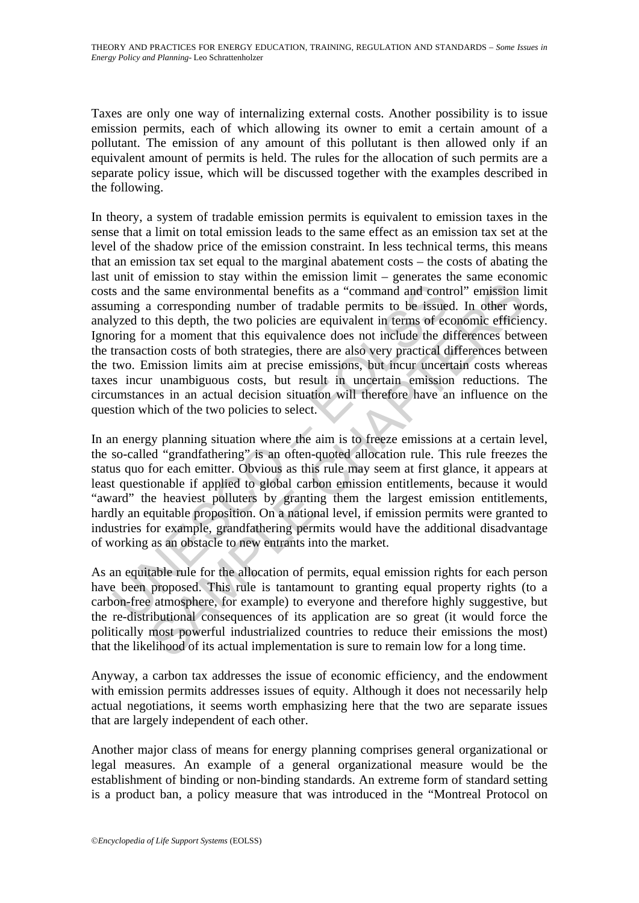Taxes are only one way of internalizing external costs. Another possibility is to issue emission permits, each of which allowing its owner to emit a certain amount of a pollutant. The emission of any amount of this pollutant is then allowed only if an equivalent amount of permits is held. The rules for the allocation of such permits are a separate policy issue, which will be discussed together with the examples described in the following.

s and the same environmental benefits as a "command and contuming a corresponding number of tradable permits to be issue<br>cyzed to this depth, the two policies are equivalent in terms of ec<br>oring for a moment that this equi the same environmental benefits as a "command and control" emission a corresponding number of tradable permits to be issued. In other wo this depth, the two policies are equivalent in terms of conomic efficies that is equi In theory, a system of tradable emission permits is equivalent to emission taxes in the sense that a limit on total emission leads to the same effect as an emission tax set at the level of the shadow price of the emission constraint. In less technical terms, this means that an emission tax set equal to the marginal abatement costs – the costs of abating the last unit of emission to stay within the emission limit – generates the same economic costs and the same environmental benefits as a "command and control" emission limit assuming a corresponding number of tradable permits to be issued. In other words, analyzed to this depth, the two policies are equivalent in terms of economic efficiency. Ignoring for a moment that this equivalence does not include the differences between the transaction costs of both strategies, there are also very practical differences between the two. Emission limits aim at precise emissions, but incur uncertain costs whereas taxes incur unambiguous costs, but result in uncertain emission reductions. The circumstances in an actual decision situation will therefore have an influence on the question which of the two policies to select.

In an energy planning situation where the aim is to freeze emissions at a certain level, the so-called "grandfathering" is an often-quoted allocation rule. This rule freezes the status quo for each emitter. Obvious as this rule may seem at first glance, it appears at least questionable if applied to global carbon emission entitlements, because it would "award" the heaviest polluters by granting them the largest emission entitlements, hardly an equitable proposition. On a national level, if emission permits were granted to industries for example, grandfathering permits would have the additional disadvantage of working as an obstacle to new entrants into the market.

As an equitable rule for the allocation of permits, equal emission rights for each person have been proposed. This rule is tantamount to granting equal property rights (to a carbon-free atmosphere, for example) to everyone and therefore highly suggestive, but the re-distributional consequences of its application are so great (it would force the politically most powerful industrialized countries to reduce their emissions the most) that the likelihood of its actual implementation is sure to remain low for a long time.

Anyway, a carbon tax addresses the issue of economic efficiency, and the endowment with emission permits addresses issues of equity. Although it does not necessarily help actual negotiations, it seems worth emphasizing here that the two are separate issues that are largely independent of each other.

Another major class of means for energy planning comprises general organizational or legal measures. An example of a general organizational measure would be the establishment of binding or non-binding standards. An extreme form of standard setting is a product ban, a policy measure that was introduced in the "Montreal Protocol on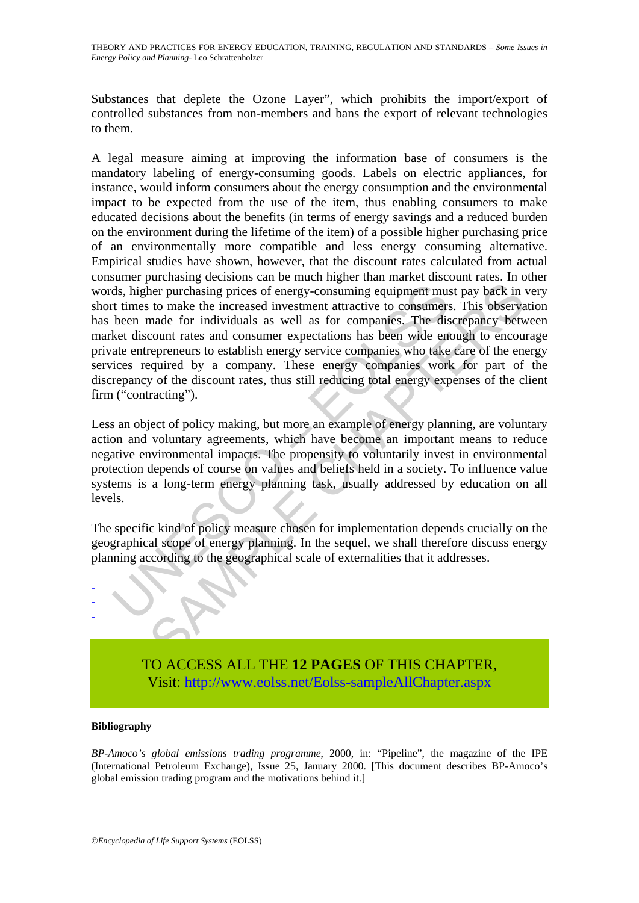THEORY AND PRACTICES FOR ENERGY EDUCATION, TRAINING, REGULATION AND STANDARDS – *Some Issues in Energy Policy and Planning-* Leo Schrattenholzer

Substances that deplete the Ozone Layer", which prohibits the import/export of controlled substances from non-members and bans the export of relevant technologies to them.

ds, higher purchasing prices of energy-consuming equipment must times to make the increased investment attractive to consumers<br>been made for individuals as well as for companies. The distret discount rates and consumer exp there purchasing prices of energy-consuming equipment must pay back in to make the increased investment attractive to consumers. This observation to the increased investment attractive to consumers. This observation that i A legal measure aiming at improving the information base of consumers is the mandatory labeling of energy-consuming goods. Labels on electric appliances, for instance, would inform consumers about the energy consumption and the environmental impact to be expected from the use of the item, thus enabling consumers to make educated decisions about the benefits (in terms of energy savings and a reduced burden on the environment during the lifetime of the item) of a possible higher purchasing price of an environmentally more compatible and less energy consuming alternative. Empirical studies have shown, however, that the discount rates calculated from actual consumer purchasing decisions can be much higher than market discount rates. In other words, higher purchasing prices of energy-consuming equipment must pay back in very short times to make the increased investment attractive to consumers. This observation has been made for individuals as well as for companies. The discrepancy between market discount rates and consumer expectations has been wide enough to encourage private entrepreneurs to establish energy service companies who take care of the energy services required by a company. These energy companies work for part of the discrepancy of the discount rates, thus still reducing total energy expenses of the client firm ("contracting").

Less an object of policy making, but more an example of energy planning, are voluntary action and voluntary agreements, which have become an important means to reduce negative environmental impacts. The propensity to voluntarily invest in environmental protection depends of course on values and beliefs held in a society. To influence value systems is a long-term energy planning task, usually addressed by education on all levels.

The specific kind of policy measure chosen for implementation depends crucially on the geographical scope of energy planning. In the sequel, we shall therefore discuss energy planning according to the geographical scale of externalities that it addresses.



#### **Bibliography**

- - -

*BP-Amoco's global emissions trading programme*, 2000, in: "Pipeline", the magazine of the IPE (International Petroleum Exchange), Issue 25, January 2000. [This document describes BP-Amoco's global emission trading program and the motivations behind it.]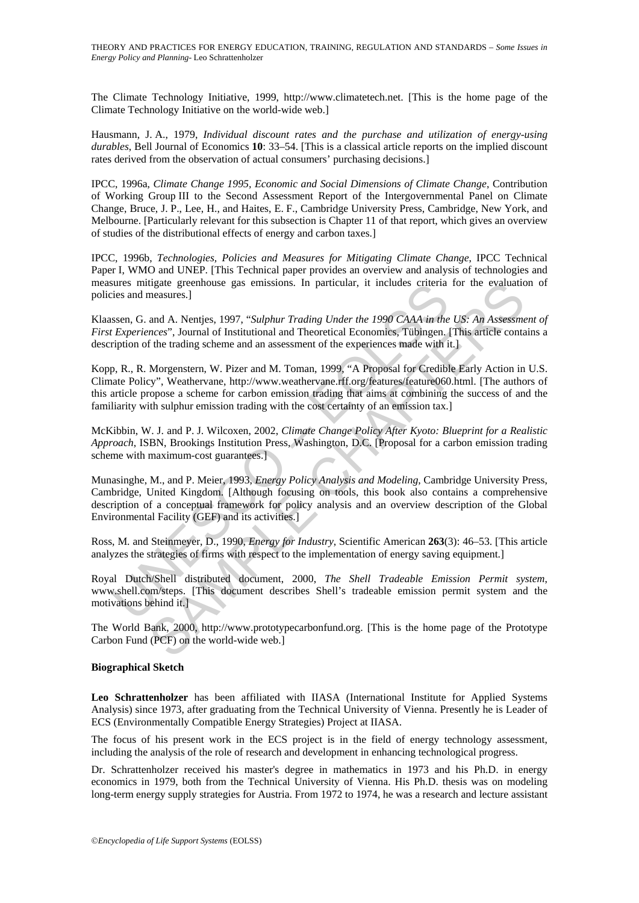The Climate Technology Initiative, 1999, http://www.climatetech.net. [This is the home page of the Climate Technology Initiative on the world-wide web.]

Hausmann, J. A., 1979, *Individual discount rates and the purchase and utilization of energy-using durables*, Bell Journal of Economics **10**: 33–54. [This is a classical article reports on the implied discount rates derived from the observation of actual consumers' purchasing decisions.]

IPCC, 1996a, *Climate Change 1995, Economic and Social Dimensions of Climate Change*, Contribution of Working Group III to the Second Assessment Report of the Intergovernmental Panel on Climate Change, Bruce, J. P., Lee, H., and Haites, E. F., Cambridge University Press, Cambridge, New York, and Melbourne. [Particularly relevant for this subsection is Chapter 11 of that report, which gives an overview of studies of the distributional effects of energy and carbon taxes.]

IPCC, 1996b, *Technologies, Policies and Measures for Mitigating Climate Change*, IPCC Technical Paper I, WMO and UNEP. [This Technical paper provides an overview and analysis of technologies and measures mitigate greenhouse gas emissions. In particular, it includes criteria for the evaluation of policies and measures.]

Klaassen, G. and A. Nentjes, 1997, "*Sulphur Trading Under the 1990 CAAA in the US: An Assessment of First Experiences*", Journal of Institutional and Theoretical Economics, Tübingen. [This article contains a description of the trading scheme and an assessment of the experiences made with it.]

sinces mitigate greenouse gas emissions. In particular, it includes criteria<br>
seen, G. and A. Nentjes, 1997, "Sulphur Trading Under the 1990 CAAA in the<br>
seen, G. and A. Nentjes, 1997, "Sulphur Trading Under the 1990 CAAA tigate greenhouse gas emissions. In particular, it includes criteria for the evaluatic<br>measures.]<br>and A. Nentjes, 1997, "Sulphur Trading Under the 1990 CAAA in the US: An Assessmences", Journal of Institutional and Theoret Kopp, R., R. Morgenstern, W. Pizer and M. Toman, 1999, "A Proposal for Credible Early Action in U.S. Climate Policy", Weathervane, http://www.weathervane.rff.org/features/feature060.html. [The authors of this article propose a scheme for carbon emission trading that aims at combining the success of and the familiarity with sulphur emission trading with the cost certainty of an emission tax.]

McKibbin, W. J. and P. J. Wilcoxen, 2002, *Climate Change Policy After Kyoto: Blueprint for a Realistic Approach*, ISBN, Brookings Institution Press, Washington, D.C. [Proposal for a carbon emission trading scheme with maximum-cost guarantees.

Munasinghe, M., and P. Meier, 1993, *Energy Policy Analysis and Modeling*, Cambridge University Press, Cambridge, United Kingdom. [Although focusing on tools, this book also contains a comprehensive description of a conceptual framework for policy analysis and an overview description of the Global Environmental Facility (GEF) and its activities.]

Ross, M. and Steinmeyer, D., 1990, *Energy for Industry*, Scientific American **263**(3): 46–53. [This article analyzes the strategies of firms with respect to the implementation of energy saving equipment.]

Royal Dutch/Shell distributed document, 2000, *The Shell Tradeable Emission Permit system*, www.shell.com/steps. [This document describes Shell's tradeable emission permit system and the motivations behind it.]

The World Bank, 2000, http://www.prototypecarbonfund.org. [This is the home page of the Prototype Carbon Fund (PCF) on the world-wide web.]

#### **Biographical Sketch**

**Leo Schrattenholzer** has been affiliated with IIASA (International Institute for Applied Systems Analysis) since 1973, after graduating from the Technical University of Vienna. Presently he is Leader of ECS (Environmentally Compatible Energy Strategies) Project at IIASA.

The focus of his present work in the ECS project is in the field of energy technology assessment, including the analysis of the role of research and development in enhancing technological progress.

Dr. Schrattenholzer received his master's degree in mathematics in 1973 and his Ph.D. in energy economics in 1979, both from the Technical University of Vienna. His Ph.D. thesis was on modeling long-term energy supply strategies for Austria. From 1972 to 1974, he was a research and lecture assistant